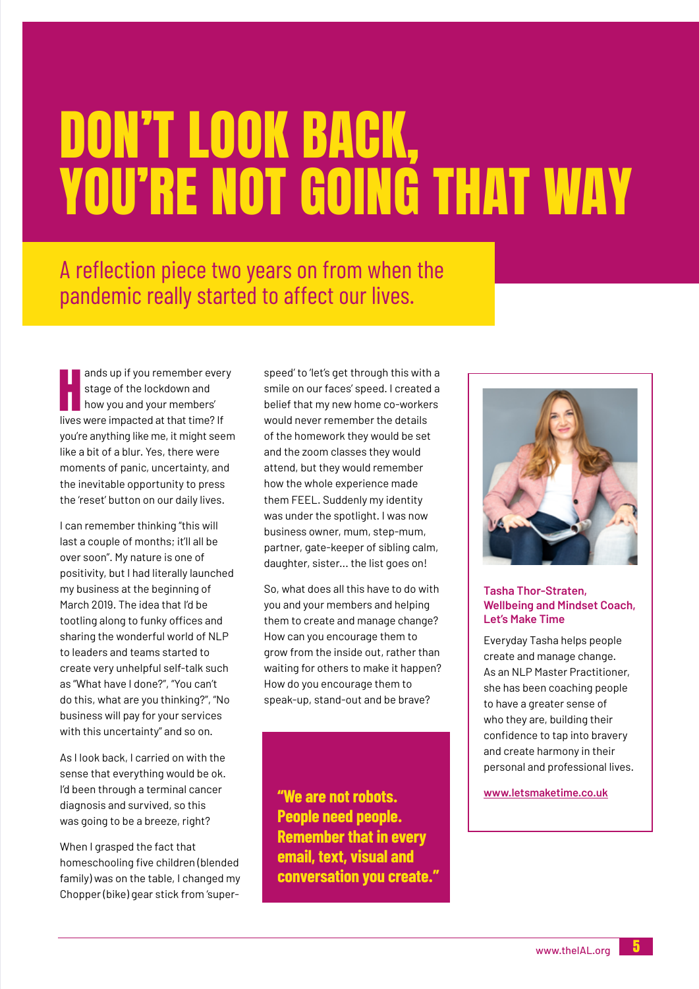# DON'T LOOK BACK, YOU'RE NOT GOING THAT WAY

## A reflection piece two years on from when the pandemic really started to affect our lives.

ands up if you remember ever<br>stage of the lockdown and<br>how you and your members'<br>lives were impacted at that time? If ands up if you remember every stage of the lockdown and how you and your members' you're anything like me, it might seem like a bit of a blur. Yes, there were moments of panic, uncertainty, and the inevitable opportunity to press the 'reset' button on our daily lives.

I can remember thinking "this will last a couple of months; it'll all be over soon". My nature is one of positivity, but I had literally launched my business at the beginning of March 2019. The idea that I'd be tootling along to funky offices and sharing the wonderful world of NLP to leaders and teams started to create very unhelpful self-talk such as "What have I done?", "You can't do this, what are you thinking?", "No business will pay for your services with this uncertainty" and so on.

As I look back, I carried on with the sense that everything would be ok. I'd been through a terminal cancer diagnosis and survived, so this was going to be a breeze, right?

When I grasped the fact that homeschooling five children (blended family) was on the table, I changed my Chopper (bike) gear stick from 'superspeed' to 'let's get through this with a smile on our faces' speed. I created a belief that my new home co-workers would never remember the details of the homework they would be set and the zoom classes they would attend, but they would remember how the whole experience made them FEEL. Suddenly my identity was under the spotlight. I was now business owner, mum, step-mum, partner, gate-keeper of sibling calm, daughter, sister... the list goes on!

So, what does all this have to do with you and your members and helping them to create and manage change? How can you encourage them to grow from the inside out, rather than waiting for others to make it happen? How do you encourage them to speak-up, stand-out and be brave?

**"We are not robots. People need people. Remember that in every email, text, visual and conversation you create."**



#### **Tasha Thor-Straten, Wellbeing and Mindset Coach, Let's Make Time**

Everyday Tasha helps people create and manage change. As an NLP Master Practitioner, she has been coaching people to have a greater sense of who they are, building their confidence to tap into bravery and create harmony in their personal and professional lives.

**www.letsmaketime.co.uk**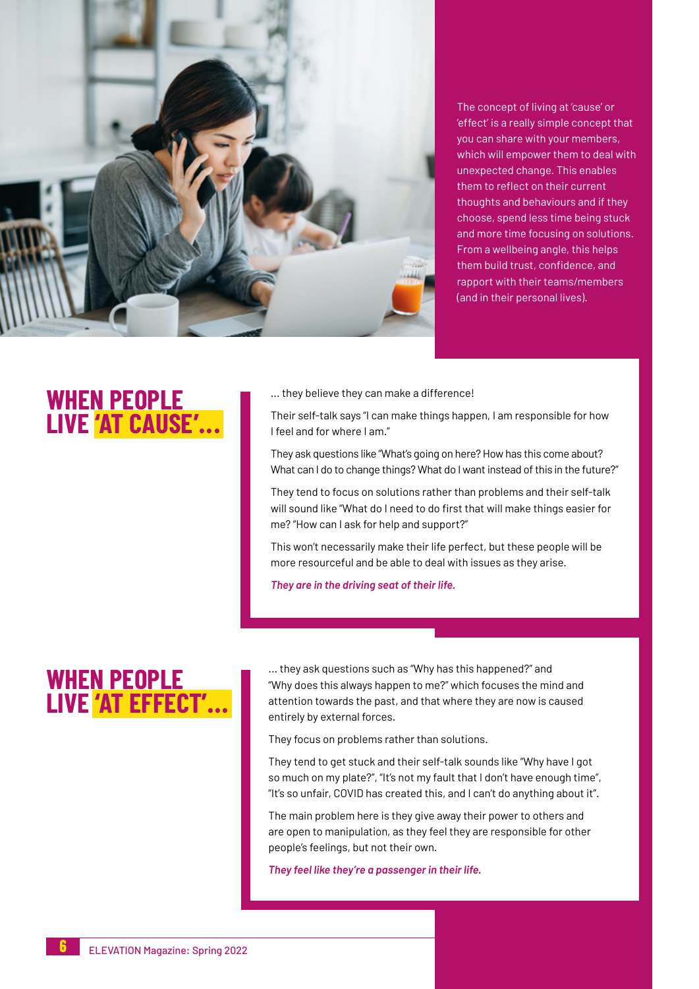

The concept of living at 'cause' or 'effect' is a really simple concept that you can share with your members, which will empower them to deal with unexpected change. This enables them to reflect on their current thoughts and behaviours and if they choose, spend less time being stuck and more time focusing on solutions. From a wellbeing angle, this helps them build trust, confidence, and rapport with their teams/members (and in their personal lives).

### **WHEN PEOPLE LIVE 'AT CAUSE'...**

... they believe they can make a difference!

Their self-talk says "I can make things happen, I am responsible for how I feel and for where I am."

They ask questions like "What's going on here? How has this come about? What can I do to change things? What do I want instead of this in the future?"

They tend to focus on solutions rather than problems and their self-talk will sound like "What do I need to do first that will make things easier for me? "How can I ask for help and support?"

This won't necessarily make their life perfect, but these people will be more resourceful and be able to deal with issues as they arise.

*They are in the driving seat of their life.*

## **WHEN PEOPLE LIVE 'AT EFFECT'...**

... they ask questions such as "Why has this happened?" and "Why does this always happen to me?" which focuses the mind and attention towards the past, and that where they are now is caused entirely by external forces.

They focus on problems rather than solutions.

They tend to get stuck and their self-talk sounds like "Why have I got so much on my plate?", "It's not my fault that I don't have enough time", "It's so unfair, COVID has created this, and I can't do anything about it".

The main problem here is they give away their power to others and are open to manipulation, as they feel they are responsible for other people's feelings, but not their own.

*They feel like they're a passenger in their life.*